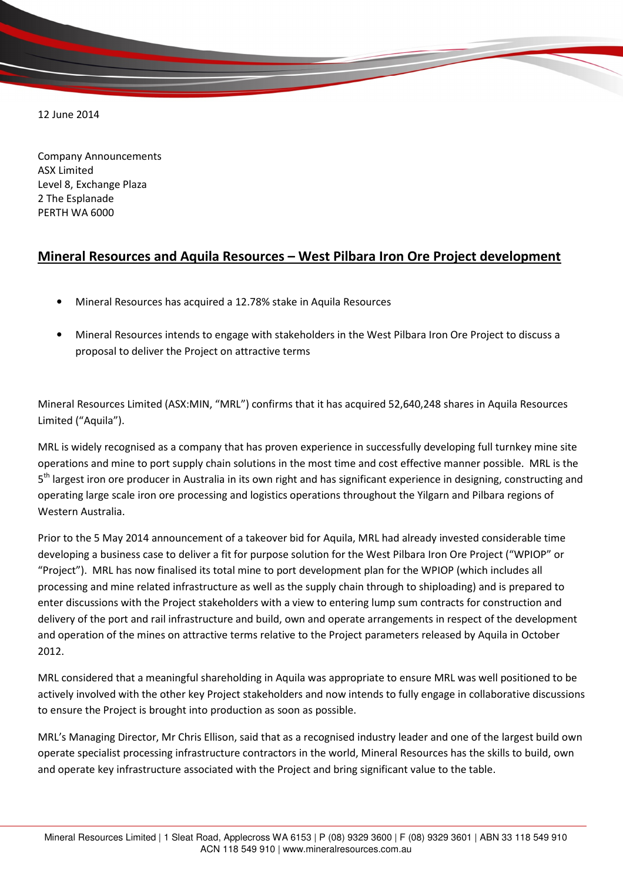12 June 2014

Company Announcements ASX Limited Level 8, Exchange Plaza 2 The Esplanade PERTH WA 6000

## Mineral Resources and Aquila Resources – West Pilbara Iron Ore Project development

- Mineral Resources has acquired a 12.78% stake in Aquila Resources
- Mineral Resources intends to engage with stakeholders in the West Pilbara Iron Ore Project to discuss a proposal to deliver the Project on attractive terms

Mineral Resources Limited (ASX:MIN, "MRL") confirms that it has acquired 52,640,248 shares in Aquila Resources Limited ("Aquila").

MRL is widely recognised as a company that has proven experience in successfully developing full turnkey mine site operations and mine to port supply chain solutions in the most time and cost effective manner possible. MRL is the 5<sup>th</sup> largest iron ore producer in Australia in its own right and has significant experience in designing, constructing and operating large scale iron ore processing and logistics operations throughout the Yilgarn and Pilbara regions of Western Australia.

Prior to the 5 May 2014 announcement of a takeover bid for Aquila, MRL had already invested considerable time developing a business case to deliver a fit for purpose solution for the West Pilbara Iron Ore Project ("WPIOP" or "Project"). MRL has now finalised its total mine to port development plan for the WPIOP (which includes all processing and mine related infrastructure as well as the supply chain through to shiploading) and is prepared to enter discussions with the Project stakeholders with a view to entering lump sum contracts for construction and delivery of the port and rail infrastructure and build, own and operate arrangements in respect of the development and operation of the mines on attractive terms relative to the Project parameters released by Aquila in October 2012.

MRL considered that a meaningful shareholding in Aquila was appropriate to ensure MRL was well positioned to be actively involved with the other key Project stakeholders and now intends to fully engage in collaborative discussions to ensure the Project is brought into production as soon as possible.

MRL's Managing Director, Mr Chris Ellison, said that as a recognised industry leader and one of the largest build own operate specialist processing infrastructure contractors in the world, Mineral Resources has the skills to build, own and operate key infrastructure associated with the Project and bring significant value to the table.